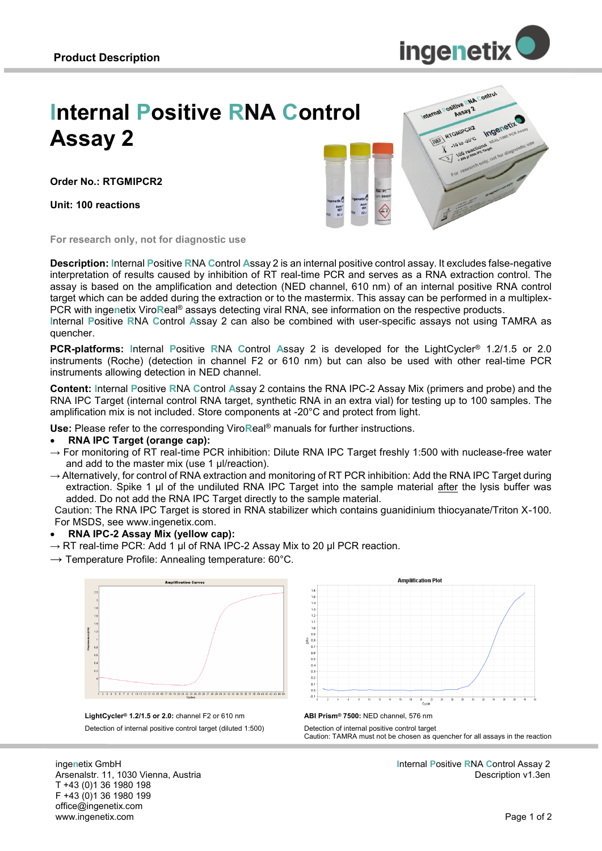

# **Internal Positive RNA Control Assay 2**

**Order No.: RTGMIPCR2**

**Unit: 100 reactions**



**For research only, not for diagnostic use**

**Description: I**nternal **P**ositive **R**NA **C**ontrol **A**ssay 2 is an internal positive control assay. It excludes false-negative interpretation of results caused by inhibition of RT real-time PCR and serves as a RNA extraction control. The assay is based on the amplification and detection (NED channel, 610 nm) of an internal positive RNA control target which can be added during the extraction or to the mastermix. This assay can be performed in a multiplex-PCR with inge**n**etix Viro**R**eal® assays detecting viral RNA, see information on the respective products.

**I**nternal **P**ositive **R**NA **C**ontrol **A**ssay 2 can also be combined with user-specific assays not using TAMRA as quencher.

**PCR-platforms: I**nternal **P**ositive **R**NA **C**ontrol **A**ssay 2 is developed for the LightCycler® 1.2/1.5 or 2.0 instruments (Roche) (detection in channel F2 or 610 nm) but can also be used with other real-time PCR instruments allowing detection in NED channel.

**Content: I**nternal **P**ositive **R**NA **C**ontrol **A**ssay 2 contains the RNA IPC-2 Assay Mix (primers and probe) and the RNA IPC Target (internal control RNA target, synthetic RNA in an extra vial) for testing up to 100 samples. The amplification mix is not included. Store components at -20°C and protect from light.

**Use:** Please refer to the corresponding Viro**R**eal® manuals for further instructions.

#### **RNA IPC Target (orange cap):**

- $\rightarrow$  For monitoring of RT real-time PCR inhibition: Dilute RNA IPC Target freshly 1:500 with nuclease-free water and add to the master mix (use 1 µl/reaction).
- $\rightarrow$  Alternatively, for control of RNA extraction and monitoring of RT PCR inhibition: Add the RNA IPC Target during extraction. Spike 1 µl of the undiluted RNA IPC Target into the sample material after the lysis buffer was added. Do not add the RNA IPC Target directly to the sample material.

Caution: The RNA IPC Target is stored in RNA stabilizer which contains guanidinium thiocyanate/Triton X-100. For MSDS, see www.ingenetix.com.

#### **RNA IPC-2 Assay Mix (yellow cap):**

- $\rightarrow$  RT real-time PCR: Add 1 µl of RNA IPC-2 Assay Mix to 20 µl PCR reaction.
- $\rightarrow$  Temperature Profile: Annealing temperature: 60°C.







Detection of internal positive control target Caution: TAMRA must not be chosen as quencher for all assays in the reaction

inge**n**etix GmbH Arsenalstr. 11, 1030 Vienna, Austria T +43 (0)1 36 1980 198 F +43 (0)1 36 1980 199 office@ingenetix.com www.ingenetix.com

**I**nternal **P**ositive **R**NA **C**ontrol Assay 2 Description v1.3en